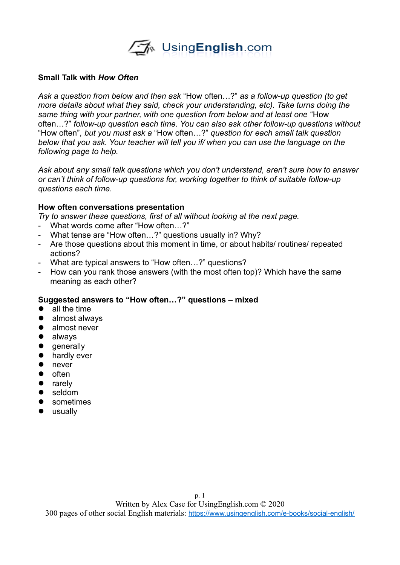

### **Small Talk with** *How Often*

*Ask a question from below and then ask* "How often…?" *as a follow-up question (to get more details about what they said, check your understanding, etc). Take turns doing the same thing with your partner, with one question from below and at least one* "How often…?" *follow-up question each time. You can also ask other follow-up questions without* "How often"*, but you must ask a* "How often…?" *question for each small talk question below that you ask. Your teacher will tell you if/ when you can use the language on the following page to help.*

*Ask about any small talk questions which you don't understand, aren't sure how to answer or can't think of follow-up questions for, working together to think of suitable follow-up questions each time.* 

### **How often conversations presentation**

*Try to answer these questions, first of all without looking at the next page.* 

- What words come after "How often…?"
- What tense are "How often…?" questions usually in? Why?
- Are those questions about this moment in time, or about habits/ routines/ repeated actions?
- What are typical answers to "How often…?" questions?
- How can you rank those answers (with the most often top)? Which have the same meaning as each other?

## **Suggested answers to "How often…?" questions – mixed**

- all the time
- almost always
- almost never
- always
- **•** generally
- **•** hardly ever
- never
- $\bullet$  often
- rarely
- seldom
- **•** sometimes
- usually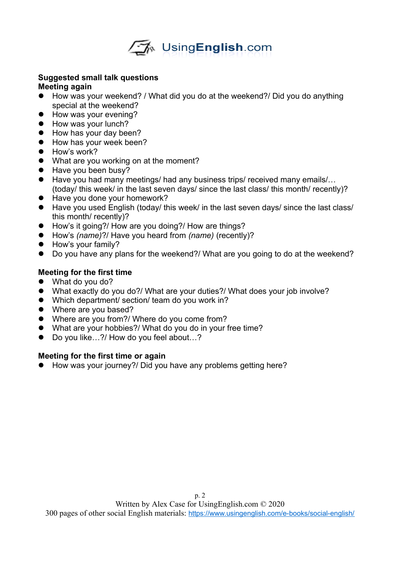

#### **Suggested small talk questions Meeting again**

- How was your weekend? / What did you do at the weekend?/ Did you do anything special at the weekend?
- How was your evening?
- How was your lunch?
- How has your day been?
- How has your week been?
- How's work?
- What are you working on at the moment?
- Have you been busy?
- Have you had many meetings/ had any business trips/ received many emails/... (today/ this week/ in the last seven days/ since the last class/ this month/ recently)?
- Have you done your homework?
- Have you used English (today/ this week/ in the last seven days/ since the last class/ this month/ recently)?
- How's it going?/ How are you doing?/ How are things?
- How's *(name)*?/ Have you heard from *(name)* (recently)?
- How's your family?
- Do you have any plans for the weekend?/ What are you going to do at the weekend?

# **Meeting for the first time**

- What do you do?
- What exactly do you do?/ What are your duties?/ What does your job involve?
- Which department/ section/ team do you work in?
- Where are you based?
- Where are you from?/ Where do you come from?
- What are your hobbies?/ What do you do in your free time?
- Do you like…?/ How do you feel about...?

## **Meeting for the first time or again**

● How was your journey?/ Did you have any problems getting here?